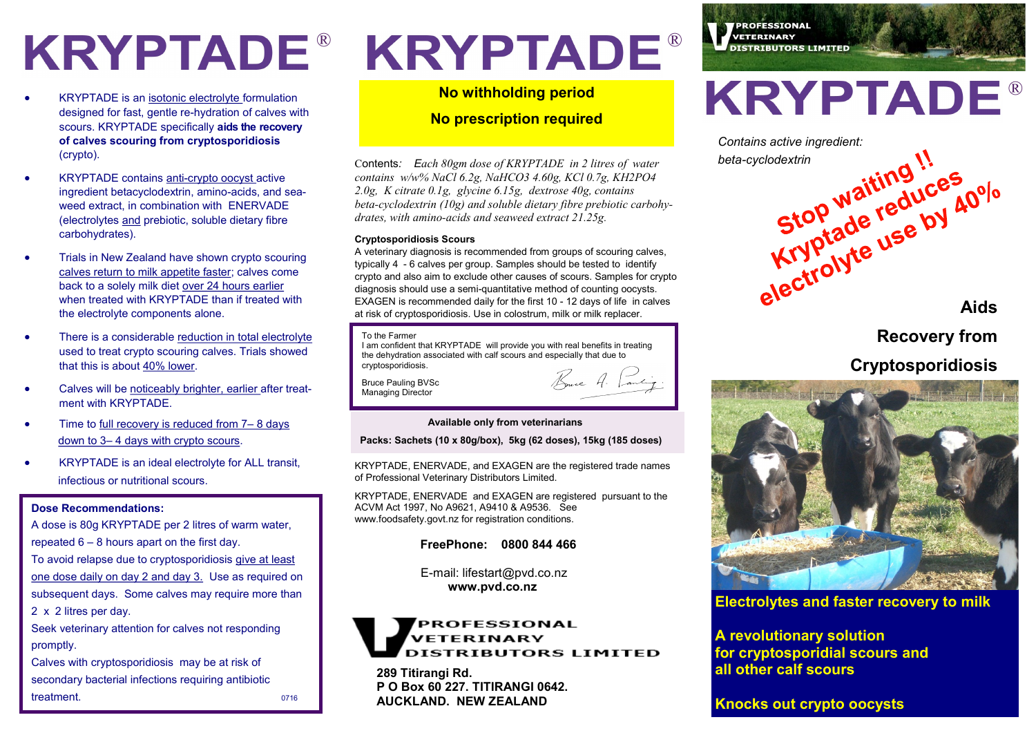- KRYPTADE is an isotonic electrolyte formulation designed for fast, gentle re-hydration of calves with scours. KRYPTADE specifically **aids the recovery of calves scouring from cryptosporidiosis** (crypto).
- KRYPTADE contains anti-crypto oocyst active ingredient betacyclodextrin, amino-acids, and seaweed extract, in combination with ENERVADE (electrolytes and prebiotic, soluble dietary fibre carbohydrates).
- Trials in New Zealand have shown crypto scouring calves return to milk appetite faster; calves come back to a solely milk diet over 24 hours earlier when treated with KRYPTADE than if treated with the electrolyte components alone.
- There is a considerable reduction in total electrolyte used to treat crypto scouring calves. Trials showed that this is about 40% lower.
- Calves will be noticeably brighter, earlier after treatment with KRYPTADE.
- Time to full recovery is reduced from 7– 8 days down to 3– 4 days with crypto scours.
- KRYPTADE is an ideal electrolyte for ALL transit, infectious or nutritional scours.

# **Dose Recommendations:**

A dose is 80g KRYPTADE per 2 litres of warm water, repeated 6 – 8 hours apart on the first day. To avoid relapse due to cryptosporidiosis give at least one dose daily on day 2 and day 3. Use as required on subsequent days. Some calves may require more than 2 x 2 litres per day. Seek veterinary attention for calves not responding promptly. Calves with cryptosporidiosis may be at risk of

secondary bacterial infections requiring antibiotic treatment. 0716

# KRYPTADE® KRYPTADE®

**No withholding period** 

**No prescription required**

Contents*: Each 80gm dose of KRYPTADE in 2 litres of water contains w/w% NaCl 6.2g, NaHCO3 4.60g, KCl 0.7g, KH2PO4 2.0g, K citrate 0.1g, glycine 6.15g, dextrose 40g, contains beta-cyclodextrin (10g) and soluble dietary fibre prebiotic carbohydrates, with amino-acids and seaweed extract 21.25g.* 

# **Cryptosporidiosis Scours**

typically 4 - 6 calves per group. Samples should be tested to ndentify<br>crypto and also aim to exclude other causes of scours. Samples for crypto diagnosis should use a semi-quantitative method of counting oocysts. A veterinary diagnosis is recommended from groups of scouring calves, typically 4 - 6 calves per group. Samples should be tested to identify EXAGEN is recommended daily for the first 10 - 12 days of life in calves at risk of cryptosporidiosis. Use in colostrum, milk or milk replacer.

## To the Farmer

I am confident that KRYPTADE will provide you with real benefits in treating the dehydration associated with calf scours and especially that due to cryptosporidiosis. Bure A. Lanting.

Bruce Pauling BVSc Managing Director

# **Available only from veterinarians**

# **Packs: Sachets (10 x 80g/box), 5kg (62 doses), 15kg (185 doses)**

KRYPTADE, ENERVADE, and EXAGEN are the registered trade names of Professional Veterinary Distributors Limited.

KRYPTADE, ENERVADE and EXAGEN are registered pursuant to the ACVM Act 1997, No A9621, A9410 & A9536. See www.foodsafety.govt.nz for registration conditions.

# **FreePhone: 0800 844 466**

 E-mail: lifestart@pvd.co.nz **www.pvd.co.nz**

# PROFESSIONAL **VETERINARY DISTRIBUTORS LIMITED**

**289 Titirangi Rd. P O Box 60 227. TITIRANGI 0642. AUCKLAND. NEW ZEALAND**



*PROFESSIONAL* VETERINARY



**Recovery from** 

# **Cryptosporidiosis**



# **Electrolytes and faster recovery to milk**

**A revolutionary solution for cryptosporidial scours and all other calf scours** 

**Knocks out crypto oocysts**